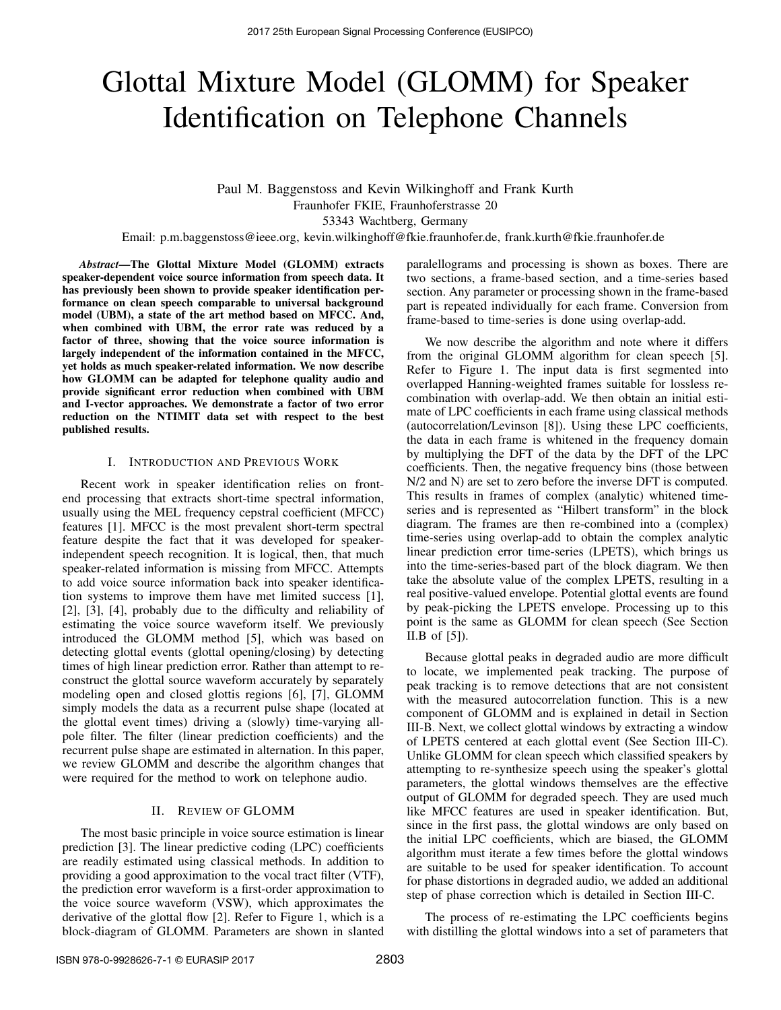# Glottal Mixture Model (GLOMM) for Speaker Identification on Telephone Channels

## Paul M. Baggenstoss and Kevin Wilkinghoff and Frank Kurth Fraunhofer FKIE, Fraunhoferstrasse 20 53343 Wachtberg, Germany

Email: p.m.baggenstoss@ieee.org, kevin.wilkinghoff@fkie.fraunhofer.de, frank.kurth@fkie.fraunhofer.de

*Abstract***—The Glottal Mixture Model (GLOMM) extracts speaker-dependent voice source information from speech data. It has previously been shown to provide speaker identification performance on clean speech comparable to universal background model (UBM), a state of the art method based on MFCC. And, when combined with UBM, the error rate was reduced by a factor of three, showing that the voice source information is largely independent of the information contained in the MFCC, yet holds as much speaker-related information. We now describe how GLOMM can be adapted for telephone quality audio and provide significant error reduction when combined with UBM and I-vector approaches. We demonstrate a factor of two error reduction on the NTIMIT data set with respect to the best published results.**

#### I. INTRODUCTION AND PREVIOUS WORK

Recent work in speaker identification relies on frontend processing that extracts short-time spectral information, usually using the MEL frequency cepstral coefficient (MFCC) features [1]. MFCC is the most prevalent short-term spectral feature despite the fact that it was developed for speakerindependent speech recognition. It is logical, then, that much speaker-related information is missing from MFCC. Attempts to add voice source information back into speaker identification systems to improve them have met limited success [1], [2], [3], [4], probably due to the difficulty and reliability of estimating the voice source waveform itself. We previously introduced the GLOMM method [5], which was based on detecting glottal events (glottal opening/closing) by detecting times of high linear prediction error. Rather than attempt to reconstruct the glottal source waveform accurately by separately modeling open and closed glottis regions [6], [7], GLOMM simply models the data as a recurrent pulse shape (located at the glottal event times) driving a (slowly) time-varying allpole filter. The filter (linear prediction coefficients) and the recurrent pulse shape are estimated in alternation. In this paper, we review GLOMM and describe the algorithm changes that were required for the method to work on telephone audio.

#### II. REVIEW OF GLOMM

The most basic principle in voice source estimation is linear prediction [3]. The linear predictive coding (LPC) coefficients are readily estimated using classical methods. In addition to providing a good approximation to the vocal tract filter (VTF), the prediction error waveform is a first-order approximation to the voice source waveform (VSW), which approximates the derivative of the glottal flow [2]. Refer to Figure 1, which is a block-diagram of GLOMM. Parameters are shown in slanted paralellograms and processing is shown as boxes. There are two sections, a frame-based section, and a time-series based section. Any parameter or processing shown in the frame-based part is repeated individually for each frame. Conversion from frame-based to time-series is done using overlap-add.

We now describe the algorithm and note where it differs from the original GLOMM algorithm for clean speech [5]. Refer to Figure 1. The input data is first segmented into overlapped Hanning-weighted frames suitable for lossless recombination with overlap-add. We then obtain an initial estimate of LPC coefficients in each frame using classical methods (autocorrelation/Levinson [8]). Using these LPC coefficients, the data in each frame is whitened in the frequency domain by multiplying the DFT of the data by the DFT of the LPC coefficients. Then, the negative frequency bins (those between N/2 and N) are set to zero before the inverse DFT is computed. This results in frames of complex (analytic) whitened timeseries and is represented as "Hilbert transform" in the block diagram. The frames are then re-combined into a (complex) time-series using overlap-add to obtain the complex analytic linear prediction error time-series (LPETS), which brings us into the time-series-based part of the block diagram. We then take the absolute value of the complex LPETS, resulting in a real positive-valued envelope. Potential glottal events are found by peak-picking the LPETS envelope. Processing up to this point is the same as GLOMM for clean speech (See Section II.B of [5]).

Because glottal peaks in degraded audio are more difficult to locate, we implemented peak tracking. The purpose of peak tracking is to remove detections that are not consistent with the measured autocorrelation function. This is a new component of GLOMM and is explained in detail in Section III-B. Next, we collect glottal windows by extracting a window of LPETS centered at each glottal event (See Section III-C). Unlike GLOMM for clean speech which classified speakers by attempting to re-synthesize speech using the speaker's glottal parameters, the glottal windows themselves are the effective output of GLOMM for degraded speech. They are used much like MFCC features are used in speaker identification. But, since in the first pass, the glottal windows are only based on the initial LPC coefficients, which are biased, the GLOMM algorithm must iterate a few times before the glottal windows are suitable to be used for speaker identification. To account for phase distortions in degraded audio, we added an additional step of phase correction which is detailed in Section III-C.

The process of re-estimating the LPC coefficients begins with distilling the glottal windows into a set of parameters that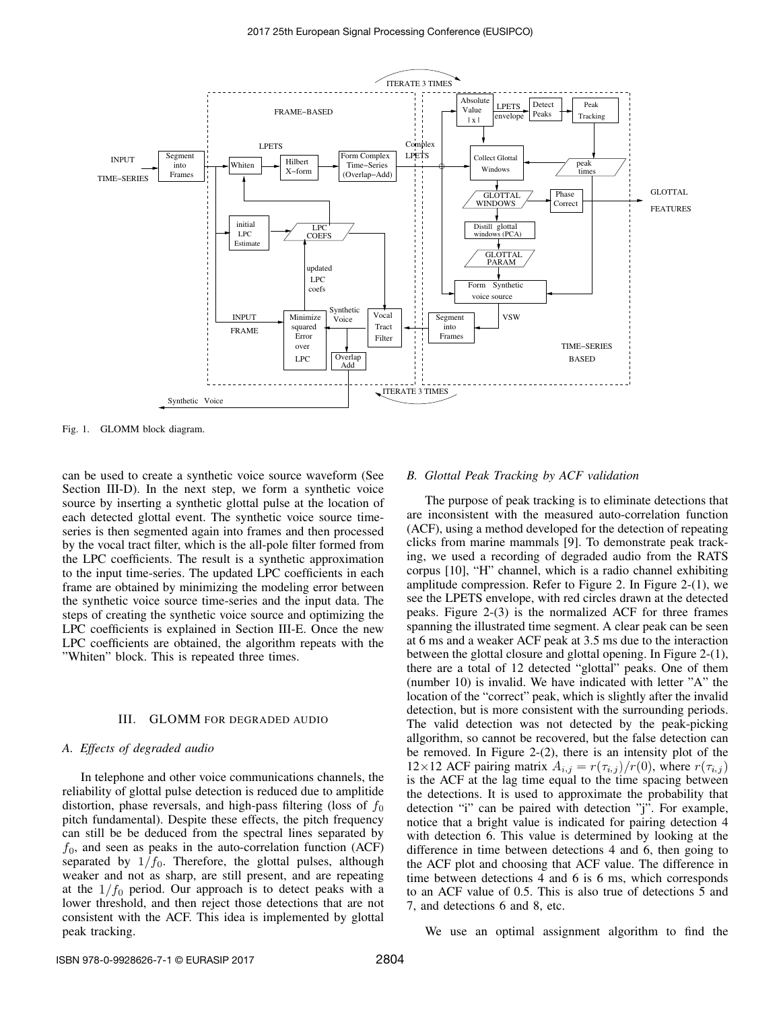

Fig. 1. GLOMM block diagram.

can be used to create a synthetic voice source waveform (See Section III-D). In the next step, we form a synthetic voice source by inserting a synthetic glottal pulse at the location of each detected glottal event. The synthetic voice source timeseries is then segmented again into frames and then processed by the vocal tract filter, which is the all-pole filter formed from the LPC coefficients. The result is a synthetic approximation to the input time-series. The updated LPC coefficients in each frame are obtained by minimizing the modeling error between the synthetic voice source time-series and the input data. The steps of creating the synthetic voice source and optimizing the LPC coefficients is explained in Section III-E. Once the new LPC coefficients are obtained, the algorithm repeats with the "Whiten" block. This is repeated three times.

#### III. GLOMM FOR DEGRADED AUDIO

#### *A. Effects of degraded audio*

In telephone and other voice communications channels, the reliability of glottal pulse detection is reduced due to amplitide distortion, phase reversals, and high-pass filtering (loss of  $f_0$ pitch fundamental). Despite these effects, the pitch frequency can still be be deduced from the spectral lines separated by  $f_0$ , and seen as peaks in the auto-correlation function (ACF) separated by  $1/f_0$ . Therefore, the glottal pulses, although weaker and not as sharp, are still present, and are repeating at the  $1/f_0$  period. Our approach is to detect peaks with a lower threshold, and then reject those detections that are not consistent with the ACF. This idea is implemented by glottal peak tracking.

#### *B. Glottal Peak Tracking by ACF validation*

The purpose of peak tracking is to eliminate detections that are inconsistent with the measured auto-correlation function (ACF), using a method developed for the detection of repeating clicks from marine mammals [9]. To demonstrate peak tracking, we used a recording of degraded audio from the RATS corpus [10], "H" channel, which is a radio channel exhibiting amplitude compression. Refer to Figure 2. In Figure 2-(1), we see the LPETS envelope, with red circles drawn at the detected peaks. Figure 2-(3) is the normalized ACF for three frames spanning the illustrated time segment. A clear peak can be seen at 6 ms and a weaker ACF peak at 3.5 ms due to the interaction between the glottal closure and glottal opening. In Figure 2-(1), there are a total of 12 detected "glottal" peaks. One of them (number 10) is invalid. We have indicated with letter "A" the location of the "correct" peak, which is slightly after the invalid detection, but is more consistent with the surrounding periods. The valid detection was not detected by the peak-picking allgorithm, so cannot be recovered, but the false detection can be removed. In Figure 2-(2), there is an intensity plot of the 12×12 ACF pairing matrix  $A_{i,j} = r(\tau_{i,j})/r(0)$ , where  $r(\tau_{i,j})$ is the ACF at the lag time equal to the time spacing between the detections. It is used to approximate the probability that detection "i" can be paired with detection "j". For example, notice that a bright value is indicated for pairing detection 4 with detection 6. This value is determined by looking at the difference in time between detections 4 and 6, then going to the ACF plot and choosing that ACF value. The difference in time between detections 4 and 6 is 6 ms, which corresponds to an ACF value of 0.5. This is also true of detections 5 and 7, and detections 6 and 8, etc.

We use an optimal assignment algorithm to find the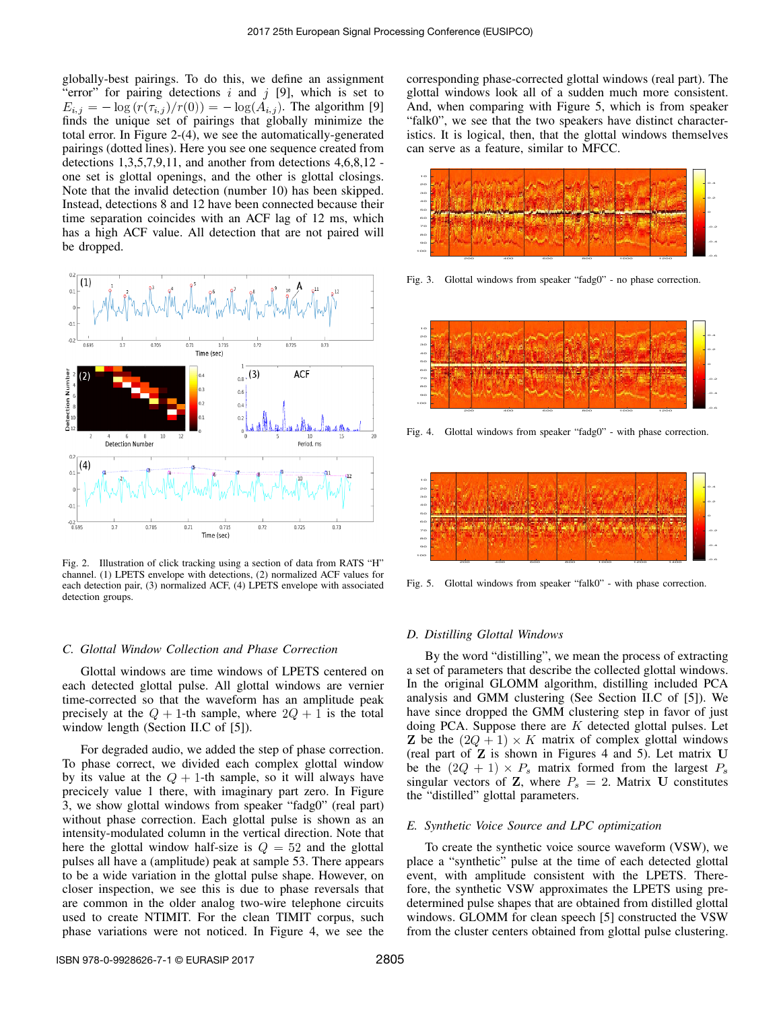globally-best pairings. To do this, we define an assignment 'error'' for pairing detections  $i$  and  $j$  [9], which is set to  $E_{i,j} = -\log(r(\tau_{i,j})/r(0)) = -\log(A_{i,j}).$  The algorithm [9] finds the unique set of pairings that globally minimize the total error. In Figure 2-(4), we see the automatically-generated pairings (dotted lines). Here you see one sequence created from detections 1,3,5,7,9,11, and another from detections 4,6,8,12 one set is glottal openings, and the other is glottal closings. Note that the invalid detection (number 10) has been skipped. Instead, detections 8 and 12 have been connected because their time separation coincides with an ACF lag of 12 ms, which has a high ACF value. All detection that are not paired will be dropped.



Fig. 2. Illustration of click tracking using a section of data from RATS "H" channel. (1) LPETS envelope with detections, (2) normalized ACF values for each detection pair, (3) normalized ACF, (4) LPETS envelope with associated detection groups.

#### *C. Glottal Window Collection and Phase Correction*

Glottal windows are time windows of LPETS centered on each detected glottal pulse. All glottal windows are vernier time-corrected so that the waveform has an amplitude peak precisely at the  $Q + 1$ -th sample, where  $2Q + 1$  is the total window length (Section II.C of [5]).

For degraded audio, we added the step of phase correction. To phase correct, we divided each complex glottal window by its value at the  $Q + 1$ -th sample, so it will always have precicely value 1 there, with imaginary part zero. In Figure 3, we show glottal windows from speaker "fadg0" (real part) without phase correction. Each glottal pulse is shown as an intensity-modulated column in the vertical direction. Note that here the glottal window half-size is  $Q = 52$  and the glottal pulses all have a (amplitude) peak at sample 53. There appears to be a wide variation in the glottal pulse shape. However, on closer inspection, we see this is due to phase reversals that are common in the older analog two-wire telephone circuits used to create NTIMIT. For the clean TIMIT corpus, such phase variations were not noticed. In Figure 4, we see the corresponding phase-corrected glottal windows (real part). The glottal windows look all of a sudden much more consistent. And, when comparing with Figure 5, which is from speaker "falk0", we see that the two speakers have distinct characteristics. It is logical, then, that the glottal windows themselves can serve as a feature, similar to MFCC.



Fig. 3. Glottal windows from speaker "fadg0" - no phase correction.



Fig. 4. Glottal windows from speaker "fadg0" - with phase correction.



Fig. 5. Glottal windows from speaker "falk0" - with phase correction.

### *D. Distilling Glottal Windows*

By the word "distilling", we mean the process of extracting a set of parameters that describe the collected glottal windows. In the original GLOMM algorithm, distilling included PCA analysis and GMM clustering (See Section II.C of [5]). We have since dropped the GMM clustering step in favor of just doing PCA. Suppose there are  $K$  detected glottal pulses. Let **Z** be the  $(2Q + 1) \times K$  matrix of complex glottal windows (real part of  $Z$  is shown in Figures 4 and 5). Let matrix  $U$ be the  $(2Q + 1) \times P_s$  matrix formed from the largest  $P_s$ singular vectors of  $Z$ , where  $P_s = 2$ . Matrix U constitutes the "distilled" glottal parameters.

#### *E. Synthetic Voice Source and LPC optimization*

To create the synthetic voice source waveform (VSW), we place a "synthetic" pulse at the time of each detected glottal event, with amplitude consistent with the LPETS. Therefore, the synthetic VSW approximates the LPETS using predetermined pulse shapes that are obtained from distilled glottal windows. GLOMM for clean speech [5] constructed the VSW from the cluster centers obtained from glottal pulse clustering.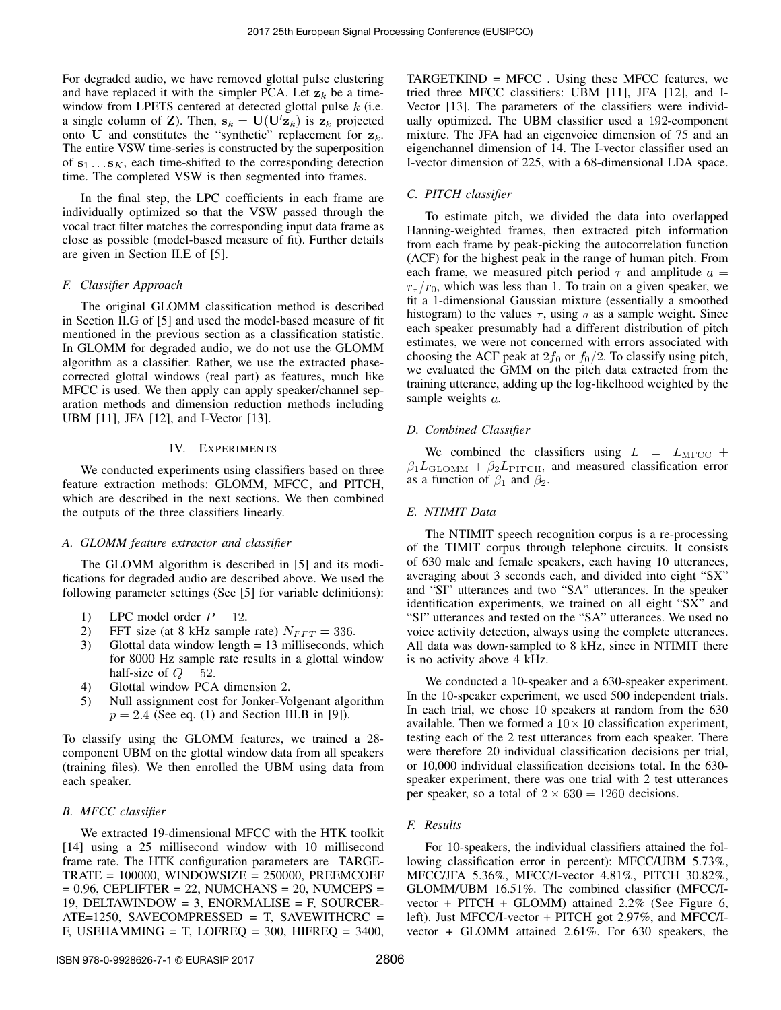For degraded audio, we have removed glottal pulse clustering and have replaced it with the simpler PCA. Let  $z_k$  be a timewindow from LPETS centered at detected glottal pulse  $k$  (i.e. a single column of **Z**). Then,  $\mathbf{s}_k = \mathbf{U}(\mathbf{U}'\mathbf{z}_k)$  is  $\mathbf{z}_k$  projected onto U and constitutes the "synthetic" replacement for  $z_k$ . The entire VSW time-series is constructed by the superposition of  $s_1 \ldots s_K$ , each time-shifted to the corresponding detection time. The completed VSW is then segmented into frames.

In the final step, the LPC coefficients in each frame are individually optimized so that the VSW passed through the vocal tract filter matches the corresponding input data frame as close as possible (model-based measure of fit). Further details are given in Section II.E of [5].

#### *F. Classifier Approach*

The original GLOMM classification method is described in Section II.G of [5] and used the model-based measure of fit mentioned in the previous section as a classification statistic. In GLOMM for degraded audio, we do not use the GLOMM algorithm as a classifier. Rather, we use the extracted phasecorrected glottal windows (real part) as features, much like MFCC is used. We then apply can apply speaker/channel separation methods and dimension reduction methods including UBM [11], JFA [12], and I-Vector [13].

### IV. EXPERIMENTS

We conducted experiments using classifiers based on three feature extraction methods: GLOMM, MFCC, and PITCH, which are described in the next sections. We then combined the outputs of the three classifiers linearly.

#### *A. GLOMM feature extractor and classifier*

The GLOMM algorithm is described in [5] and its modifications for degraded audio are described above. We used the following parameter settings (See [5] for variable definitions):

- 1) LPC model order  $P = 12$ .
- 2) FFT size (at 8 kHz sample rate)  $N_{FFT} = 336$ .
- 3) Glottal data window length = 13 milliseconds, which for 8000 Hz sample rate results in a glottal window half-size of  $Q = 52$ .
- 4) Glottal window PCA dimension 2.
- 5) Null assignment cost for Jonker-Volgenant algorithm  $p = 2.4$  (See eq. (1) and Section III.B in [9]).

To classify using the GLOMM features, we trained a 28 component UBM on the glottal window data from all speakers (training files). We then enrolled the UBM using data from each speaker.

#### *B. MFCC classifier*

We extracted 19-dimensional MFCC with the HTK toolkit [14] using a 25 millisecond window with 10 millisecond frame rate. The HTK configuration parameters are TARGE-TRATE = 100000, WINDOWSIZE = 250000, PREEMCOEF  $= 0.96$ , CEPLIFTER  $= 22$ , NUMCHANS  $= 20$ , NUMCEPS  $=$ 19, DELTAWINDOW = 3, ENORMALISE = F, SOURCER- $ATE = 1250$ , SAVECOMPRESSED = T, SAVEWITHCRC = F, USEHAMMING = T, LOFREQ =  $300$ , HIFREQ =  $3400$ , TARGETKIND = MFCC . Using these MFCC features, we tried three MFCC classifiers: UBM [11], JFA [12], and I-Vector [13]. The parameters of the classifiers were individually optimized. The UBM classifier used a 192-component mixture. The JFA had an eigenvoice dimension of 75 and an eigenchannel dimension of 14. The I-vector classifier used an I-vector dimension of 225, with a 68-dimensional LDA space.

#### *C. PITCH classifier*

To estimate pitch, we divided the data into overlapped Hanning-weighted frames, then extracted pitch information from each frame by peak-picking the autocorrelation function (ACF) for the highest peak in the range of human pitch. From each frame, we measured pitch period  $\tau$  and amplitude  $a =$  $r_{\tau}/r_0$ , which was less than 1. To train on a given speaker, we fit a 1-dimensional Gaussian mixture (essentially a smoothed histogram) to the values  $\tau$ , using  $a$  as a sample weight. Since each speaker presumably had a different distribution of pitch estimates, we were not concerned with errors associated with choosing the ACF peak at  $2f_0$  or  $f_0/2$ . To classify using pitch, we evaluated the GMM on the pitch data extracted from the training utterance, adding up the log-likelhood weighted by the sample weights  $a$ .

#### *D. Combined Classifier*

We combined the classifiers using  $L = L_{\text{MFCC}} +$  $\beta_1 L_{\text{GLOMM}} + \beta_2 L_{\text{PITCH}}$ , and measured classification error as a function of  $\beta_1$  and  $\beta_2$ .

#### *E. NTIMIT Data*

The NTIMIT speech recognition corpus is a re-processing of the TIMIT corpus through telephone circuits. It consists of 630 male and female speakers, each having 10 utterances, averaging about 3 seconds each, and divided into eight "SX" and "SI" utterances and two "SA" utterances. In the speaker identification experiments, we trained on all eight "SX" and "SI" utterances and tested on the "SA" utterances. We used no voice activity detection, always using the complete utterances. All data was down-sampled to 8 kHz, since in NTIMIT there is no activity above 4 kHz.

We conducted a 10-speaker and a 630-speaker experiment. In the 10-speaker experiment, we used 500 independent trials. In each trial, we chose 10 speakers at random from the 630 available. Then we formed a  $10 \times 10$  classification experiment, testing each of the 2 test utterances from each speaker. There were therefore 20 individual classification decisions per trial, or 10,000 individual classification decisions total. In the 630 speaker experiment, there was one trial with 2 test utterances per speaker, so a total of  $2 \times 630 = 1260$  decisions.

#### *F. Results*

For 10-speakers, the individual classifiers attained the following classification error in percent): MFCC/UBM 5.73%, MFCC/JFA 5.36%, MFCC/I-vector 4.81%, PITCH 30.82%, GLOMM/UBM 16.51%. The combined classifier (MFCC/Ivector + PITCH + GLOMM) attained 2.2% (See Figure 6, left). Just MFCC/I-vector + PITCH got 2.97%, and MFCC/Ivector + GLOMM attained 2.61%. For 630 speakers, the